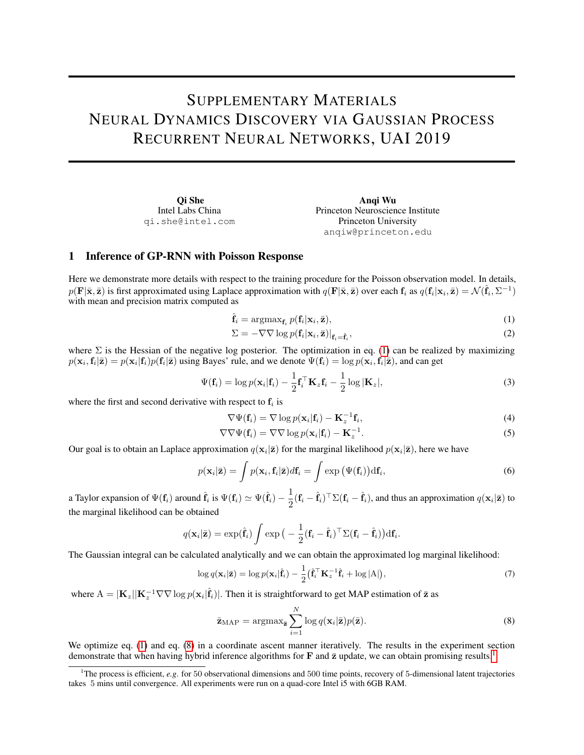# SUPPLEMENTARY MATERIALS NEURAL DYNAMICS DISCOVERY VIA GAUSSIAN PROCESS RECURRENT NEURAL NETWORKS, UAI 2019

Qi She Intel Labs China qi.she@intel.com

<span id="page-0-0"></span>Anqi Wu Princeton Neuroscience Institute Princeton University anqiw@princeton.edu

## 1 Inference of GP-RNN with Poisson Response

Here we demonstrate more details with respect to the training procedure for the Poisson observation model. In details,  $p(\mathbf{F}|\bar{\mathbf{x}}, \bar{\mathbf{z}})$  is first approximated using Laplace approximation with  $q(\mathbf{F}|\bar{\mathbf{x}}, \bar{\mathbf{z}})$  over each  $\mathbf{f}_i$  as  $q(\mathbf{f}_i|\mathbf{x}_i, \bar{\mathbf{z}}) = \mathcal{N}(\hat{\mathbf{f}}_i, \Sigma^{-1})$ with mean and precision matrix computed as

$$
\hat{\mathbf{f}}_i = \operatorname{argmax}_{\mathbf{f}_i} p(\mathbf{f}_i | \mathbf{x}_i, \bar{\mathbf{z}}), \tag{1}
$$

$$
\Sigma = -\nabla \nabla \log p(\mathbf{f}_i | \mathbf{x}_i, \bar{\mathbf{z}})|_{\mathbf{f}_i = \hat{\mathbf{f}}_i},\tag{2}
$$

where  $\Sigma$  is the Hessian of the negative log posterior. The optimization in eq. [\(1\)](#page-0-0) can be realized by maximizing  $p(\mathbf{x}_i, \mathbf{f}_i | \bar{\mathbf{z}}) = p(\mathbf{x}_i | \mathbf{f}_i) p(\mathbf{f}_i | \bar{\mathbf{z}})$  using Bayes' rule, and we denote  $\Psi(\mathbf{f}_i) = \log p(\mathbf{x}_i, \mathbf{f}_i | \bar{\mathbf{z}})$ , and can get

$$
\Psi(\mathbf{f}_i) = \log p(\mathbf{x}_i|\mathbf{f}_i) - \frac{1}{2}\mathbf{f}_i^{\top}\mathbf{K}_z\mathbf{f}_i - \frac{1}{2}\log|\mathbf{K}_z|,\tag{3}
$$

where the first and second derivative with respect to  $f_i$  is

$$
\nabla \Psi(\mathbf{f}_i) = \nabla \log p(\mathbf{x}_i | \mathbf{f}_i) - \mathbf{K}_z^{-1} \mathbf{f}_i,
$$
\n(4)

$$
\nabla \nabla \Psi(\mathbf{f}_i) = \nabla \nabla \log p(\mathbf{x}_i | \mathbf{f}_i) - \mathbf{K}_z^{-1}.
$$
 (5)

<span id="page-0-4"></span><span id="page-0-3"></span><span id="page-0-1"></span>.

Our goal is to obtain an Laplace approximation  $q(\mathbf{x}_i|\bar{\mathbf{z}})$  for the marginal likelihood  $p(\mathbf{x}_i|\bar{\mathbf{z}})$ , here we have

$$
p(\mathbf{x}_i|\bar{\mathbf{z}}) = \int p(\mathbf{x}_i, \mathbf{f}_i|\bar{\mathbf{z}}) d\mathbf{f}_i = \int \exp(\Psi(\mathbf{f}_i)) d\mathbf{f}_i,
$$
\n(6)

a Taylor expansion of  $\Psi({\bf f}_i)$  around  $\hat{{\bf f}}_i$  is  $\Psi({\bf f}_i) \simeq \Psi(\hat{{\bf f}}_i) - \frac{1}{2}$  $\frac{1}{2}(\mathbf{f}_i - \hat{\mathbf{f}}_i)^\top \Sigma(\mathbf{f}_i - \hat{\mathbf{f}}_i)$ , and thus an approximation  $q(\mathbf{x}_i|\bar{\mathbf{z}})$  to the marginal likelihood can be obtained

$$
q(\mathbf{x}_i|\bar{\mathbf{z}}) = \exp(\hat{\mathbf{f}}_i) \int \exp\big(-\frac{1}{2}(\mathbf{f}_i - \hat{\mathbf{f}}_i)^\top \Sigma (\mathbf{f}_i - \hat{\mathbf{f}}_i)\big) \mathrm{d}\mathbf{f}_i
$$

The Gaussian integral can be calculated analytically and we can obtain the approximated log marginal likelihood:

$$
\log q(\mathbf{x}_i|\bar{\mathbf{z}}) = \log p(\mathbf{x}_i|\hat{\mathbf{f}}_i) - \frac{1}{2} (\hat{\mathbf{f}}_i^{\top} \mathbf{K}_z^{-1} \hat{\mathbf{f}}_i + \log |A|), \tag{7}
$$

where  $A = |\mathbf{K}_z||\mathbf{K}_z^{-1}\nabla\nabla \log p(\mathbf{x}_i|\hat{\mathbf{f}}_i)|$ . Then it is straightforward to get MAP estimation of  $\bar{\mathbf{z}}$  as

$$
\bar{\mathbf{z}}_{\text{MAP}} = \operatorname{argmax}_{\bar{\mathbf{z}}} \sum_{i=1}^{N} \log q(\mathbf{x}_i | \bar{\mathbf{z}}) p(\bar{\mathbf{z}}).
$$
 (8)

We optimize eq. [\(1\)](#page-0-0) and eq. [\(8\)](#page-0-1) in a coordinate ascent manner iteratively. The results in the experiment section demonstrate that when having hybrid inference algorithms for  $\bf{F}$  and  $\bar{\bf{z}}$  update, we can obtain promising results.<sup>[1](#page-0-2)</sup>

<span id="page-0-2"></span><sup>&</sup>lt;sup>1</sup>The process is efficient, *e.g.* for 50 observational dimensions and 500 time points, recovery of 5-dimensional latent trajectories takes 5 mins until convergence. All experiments were run on a quad-core Intel i5 with 6GB RAM.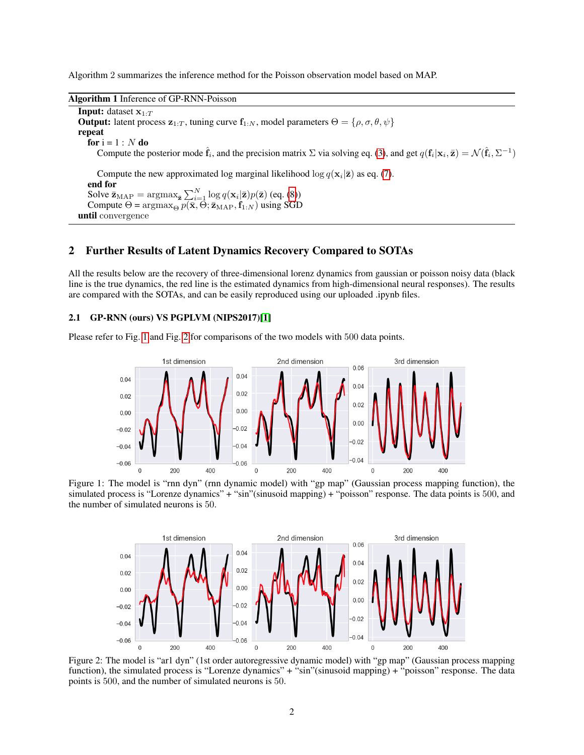Algorithm 2 summarizes the inference method for the Poisson observation model based on MAP.

#### Algorithm 1 Inference of GP-RNN-Poisson

**Input:** dataset  $x_1 \cdot T$ **Output:** latent process  $z_{1:T}$ , tuning curve  $f_{1:N}$ , model parameters  $\Theta = \{\rho, \sigma, \theta, \psi\}$ repeat for  $i = 1 : N$  do Compute the posterior mode  $\hat{\mathbf{f}}_i$ , and the precision matrix  $\Sigma$  via solving eq. [\(3\)](#page-0-3), and get  $q(\mathbf{f}_i|\mathbf{x}_i,\bar{\mathbf{z}}) = \mathcal{N}(\hat{\mathbf{f}}_i, \Sigma^{-1})$ Compute the new approximated log marginal likelihood log  $q(\mathbf{x}_i|\bar{\mathbf{z}})$  as eq. [\(7\)](#page-0-4). end for Solve  $\bar{\mathbf{z}}_{\text{MAP}} = \text{argmax}_{\bar{\mathbf{z}}} \sum_{i=1}^{N} \log q(\mathbf{x}_i | \bar{\mathbf{z}}) p(\bar{\mathbf{z}})$  (eq. [\(8\)](#page-0-1)) Compute  $\Theta = \arg \max_{\Theta} p(\bar{\mathbf{x}}, \Theta; \bar{\mathbf{z}}_{\text{MAP}}, \mathbf{f}_{1:N})$  using SGD until convergence

## 2 Further Results of Latent Dynamics Recovery Compared to SOTAs

All the results below are the recovery of three-dimensional lorenz dynamics from gaussian or poisson noisy data (black line is the true dynamics, the red line is the estimated dynamics from high-dimensional neural responses). The results are compared with the SOTAs, and can be easily reproduced using our uploaded .ipynb files.

#### 2.1 GP-RNN (ours) VS PGPLVM (NIPS2017)[\[1\]](#page-5-0)

Please refer to Fig. [1](#page-1-0) and Fig. [2](#page-1-1) for comparisons of the two models with 500 data points.



<span id="page-1-0"></span>Figure 1: The model is "rnn dyn" (rnn dynamic model) with "gp map" (Gaussian process mapping function), the simulated process is "Lorenze dynamics" + "sin"(sinusoid mapping) + "poisson" response. The data points is 500, and the number of simulated neurons is 50.



<span id="page-1-1"></span>Figure 2: The model is "ar1 dyn" (1st order autoregressive dynamic model) with "gp map" (Gaussian process mapping function), the simulated process is "Lorenze dynamics" + "sin"(sinusoid mapping) + "poisson" response. The data points is 500, and the number of simulated neurons is 50.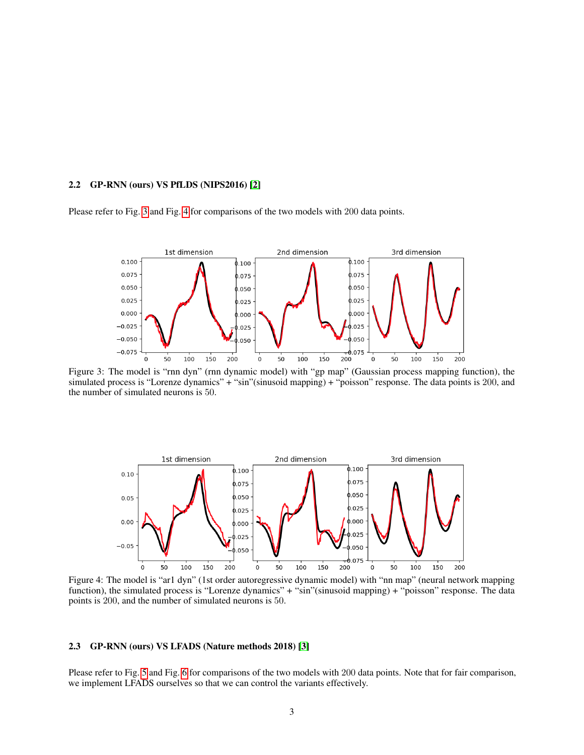### 2.2 GP-RNN (ours) VS PfLDS (NIPS2016) [\[2\]](#page-5-1)

Please refer to Fig. [3](#page-2-0) and Fig. [4](#page-2-1) for comparisons of the two models with 200 data points.



<span id="page-2-0"></span>Figure 3: The model is "rnn dyn" (rnn dynamic model) with "gp map" (Gaussian process mapping function), the simulated process is "Lorenze dynamics" + "sin"(sinusoid mapping) + "poisson" response. The data points is 200, and the number of simulated neurons is 50.



<span id="page-2-1"></span>Figure 4: The model is "ar1 dyn" (1st order autoregressive dynamic model) with "nn map" (neural network mapping function), the simulated process is "Lorenze dynamics" + "sin"(sinusoid mapping) + "poisson" response. The data points is 200, and the number of simulated neurons is 50.

#### 2.3 GP-RNN (ours) VS LFADS (Nature methods 2018) [\[3\]](#page-5-2)

Please refer to Fig. [5](#page-3-0) and Fig. [6](#page-3-1) for comparisons of the two models with 200 data points. Note that for fair comparison, we implement LFADS ourselves so that we can control the variants effectively.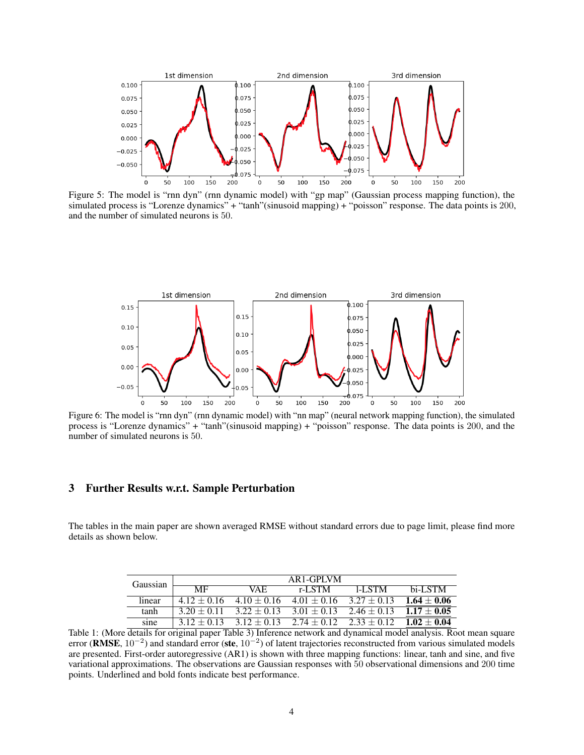

<span id="page-3-0"></span>Figure 5: The model is "rnn dyn" (rnn dynamic model) with "gp map" (Gaussian process mapping function), the simulated process is "Lorenze dynamics" + "tanh"(sinusoid mapping) + "poisson" response. The data points is 200, and the number of simulated neurons is 50.



<span id="page-3-1"></span>Figure 6: The model is "rnn dyn" (rnn dynamic model) with "nn map" (neural network mapping function), the simulated process is "Lorenze dynamics" + "tanh"(sinusoid mapping) + "poisson" response. The data points is 200, and the number of simulated neurons is 50.

## 3 Further Results w.r.t. Sample Perturbation

The tables in the main paper are shown averaged RMSE without standard errors due to page limit, please find more details as shown below.

| Gaussian | $AR1-GPINM$     |                 |                             |                 |                 |  |  |
|----------|-----------------|-----------------|-----------------------------|-----------------|-----------------|--|--|
|          | MF              | VAE.            | r-LSTM                      | LL STM          | hi-LSTM         |  |  |
| linear   | $412 + 016$     | $4.10 + 0.16$   | $4.01 + 0.16$ $3.27 + 0.13$ |                 | $1.64 \pm 0.06$ |  |  |
| tanh     | $3.20 + 0.11$   | $3.22 + 0.13$   | $3.01 + 0.13$               | $2.46 \pm 0.13$ | $1.17 + 0.05$   |  |  |
| sine     | $3.12 \pm 0.13$ | $3.12 \pm 0.13$ | $2.74 \pm 0.12$             | $2.33 \pm 0.12$ | $1.02 \pm 0.04$ |  |  |

Table 1: (More details for original paper Table 3) Inference network and dynamical model analysis. Root mean square error (RMSE,  $10^{-2}$ ) and standard error (ste,  $10^{-2}$ ) of latent trajectories reconstructed from various simulated models are presented. First-order autoregressive (AR1) is shown with three mapping functions: linear, tanh and sine, and five variational approximations. The observations are Gaussian responses with 50 observational dimensions and 200 time points. Underlined and bold fonts indicate best performance.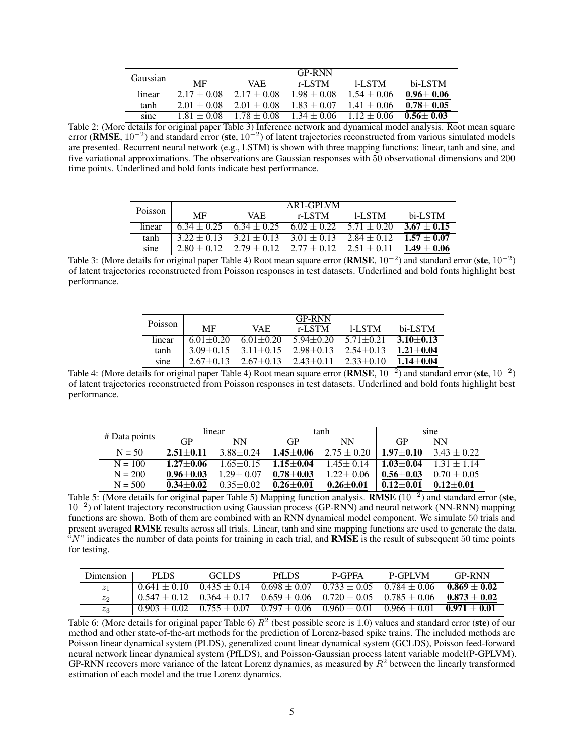| Gaussian |                        |                 | <b>GP-RNN</b> |               |                 |
|----------|------------------------|-----------------|---------------|---------------|-----------------|
|          | $\overline{\text{MF}}$ | VA F.           | r-LSTM        | 1-L STM       | bi-LSTM         |
| linear   | $2.17 \pm 0.08$        | $2.17 \pm 0.08$ | $1.98 + 0.08$ | $1.54 + 0.06$ | $0.96 + 0.06$   |
| tanh     | $2.01 + 0.08$          | $2.01 + 0.08$   | $1.83 + 0.07$ | $141 + 006$   | $0.78 \pm 0.05$ |
| sine     | $1.81 + 0.08$          | $1.78 + 0.08$   | $1.34 + 0.06$ | $112 + 0.06$  | $0.56 \pm 0.03$ |

Table 2: (More details for original paper Table 3) Inference network and dynamical model analysis. Root mean square error (RMSE,  $10^{-2}$ ) and standard error (ste,  $10^{-2}$ ) of latent trajectories reconstructed from various simulated models are presented. Recurrent neural network (e.g., LSTM) is shown with three mapping functions: linear, tanh and sine, and five variational approximations. The observations are Gaussian responses with 50 observational dimensions and 200 time points. Underlined and bold fonts indicate best performance.

| Poisson |                        |                                 | AR1-GPLVM       |                 |                 |
|---------|------------------------|---------------------------------|-----------------|-----------------|-----------------|
|         | $\overline{\text{MF}}$ | VAF.                            | r-LSTM          | 1-L STM         | bi-LSTM         |
| linear  | $6.34 + 0.25$          | $6.34 \pm 0.25$                 | $6.02 \pm 0.22$ | $5.71 + 0.20$   | $3.67 \pm 0.15$ |
| tanh    | $3.22 + 0.13$          | $3.21 + 0.13$                   | $3.01 \pm 0.13$ | $2.84 \pm 0.12$ | $1.57 + 0.07$   |
| sine    | $2.80 + 0.12$          | $2.79 \pm 0.12$ $2.77 \pm 0.12$ |                 | $2.51 + 0.11$   | $1.49 + 0.06$   |

Table 3: (More details for original paper Table 4) Root mean square error (**RMSE**,  $10^{-2}$ ) and standard error (ste,  $10^{-2}$ ) of latent trajectories reconstructed from Poisson responses in test datasets. Underlined and bold fonts highlight best performance.

| Poisson | <b>GP-RNN</b>   |               |               |               |               |  |  |  |
|---------|-----------------|---------------|---------------|---------------|---------------|--|--|--|
|         | MF              | VAE.          | r-LSTM        | 1-L STM       | bi-LSTM       |  |  |  |
| linear  | $6.01 + 0.20$   | $6.01 + 0.20$ | $5.94 + 0.20$ | $571 + 0.21$  | $3.10 + 0.13$ |  |  |  |
| tanh    | $3.09 \pm 0.15$ | $3.11 + 0.15$ | $2.98 + 0.13$ | $2.54 + 0.13$ | $1.21 + 0.04$ |  |  |  |
| sine    | $2.67 + 0.13$   | $2.67 + 0.13$ | $2.43 + 0.11$ | $2.33 + 0.10$ | $1.14 + 0.04$ |  |  |  |

Table 4: (More details for original paper Table 4) Root mean square error (**RMSE**,  $10^{-2}$ ) and standard error (ste,  $10^{-2}$ ) of latent trajectories reconstructed from Poisson responses in test datasets. Underlined and bold fonts highlight best performance.

| # Data points | linear        |               |               | tanh            | sine          |                 |
|---------------|---------------|---------------|---------------|-----------------|---------------|-----------------|
|               | <b>GP</b>     | <b>NN</b>     | GP            | <b>NN</b>       | GP            | <b>NN</b>       |
| $N = 50$      | $2.51 + 0.11$ | $3.88 + 0.24$ | $.45 + 0.06$  | $2.75 + 0.20$   | $1.97 + 0.10$ | $3.43 \pm 0.22$ |
| $N = 100$     | $1.27 + 0.06$ | $1.65 + 0.15$ | $.15 + 0.04$  | $1.45 + 0.14$   | $1.03 + 0.04$ | $1\,31 + 1\,14$ |
| $N = 200$     | $0.96 + 0.03$ | $1.29 + 0.07$ | $0.78 + 0.03$ | $1.22 \pm 0.06$ | $0.56 + 0.03$ | $0.70 + 0.05$   |
| $N = 500$     | $0.34 + 0.02$ | $0.35 + 0.02$ | $0.26 + 0.01$ | $0.26 + 0.01$   | $0.12 + 0.01$ | $0.12 + 0.01$   |

Table 5: (More details for original paper Table 5) Mapping function analysis. RMSE (10<sup>-2</sup>) and standard error (ste, 10<sup>−</sup><sup>2</sup> ) of latent trajectory reconstruction using Gaussian process (GP-RNN) and neural network (NN-RNN) mapping functions are shown. Both of them are combined with an RNN dynamical model component. We simulate 50 trials and present averaged RMSE results across all trials. Linear, tanh and sine mapping functions are used to generate the data. " $N$ " indicates the number of data points for training in each trial, and **RMSE** is the result of subsequent 50 time points for testing.

| Dimension       | PLDS.            | GCLDS                                                                      | <b>PHLDS</b> | P-GPFA           | <b>P-GPI VM</b>  | <b>GP-RNN</b>  |
|-----------------|------------------|----------------------------------------------------------------------------|--------------|------------------|------------------|----------------|
| $\mathcal{Z}_1$ | $0.641 \pm 0.10$ | $0.435 \pm 0.14$ $0.698 \pm 0.07$                                          |              | $0.733 \pm 0.05$ | $0.784 \pm 0.06$ | $0.869 + 0.02$ |
| $z_2$           |                  | $0.547 + 0.12$ $0.364 + 0.17$ $0.659 + 0.06$ $0.720 + 0.05$ $0.785 + 0.06$ |              |                  |                  | $0.873 + 0.02$ |
| $z_3$           |                  | $0.903 \pm 0.02$ $0.755 \pm 0.07$ $0.797 \pm 0.06$                         |              | $0.960 \pm 0.01$ | $0.966 \pm 0.01$ | $0.971 + 0.01$ |

Table 6: (More details for original paper Table 6)  $R^2$  (best possible score is 1.0) values and standard error (ste) of our method and other state-of-the-art methods for the prediction of Lorenz-based spike trains. The included methods are Poisson linear dynamical system (PLDS), generalized count linear dynamical system (GCLDS), Poisson feed-forward neural network linear dynamical system (PfLDS), and Poisson-Gaussian process latent variable model(P-GPLVM). GP-RNN recovers more variance of the latent Lorenz dynamics, as measured by  $R<sup>2</sup>$  between the linearly transformed estimation of each model and the true Lorenz dynamics.